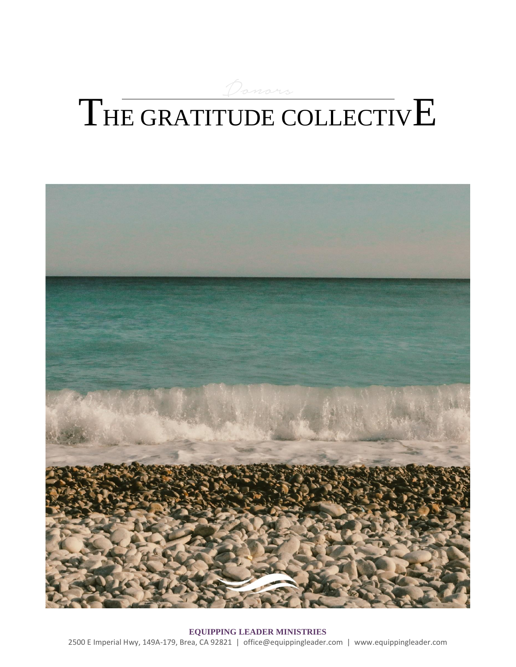# THE GRATITUDE COLLECTIVE



**EQUIPPING LEADER MINISTRIES** 2500 E Imperial Hwy, 149A-179, Brea, CA 92821 | office@equippingleader.com | www.equippingleader.com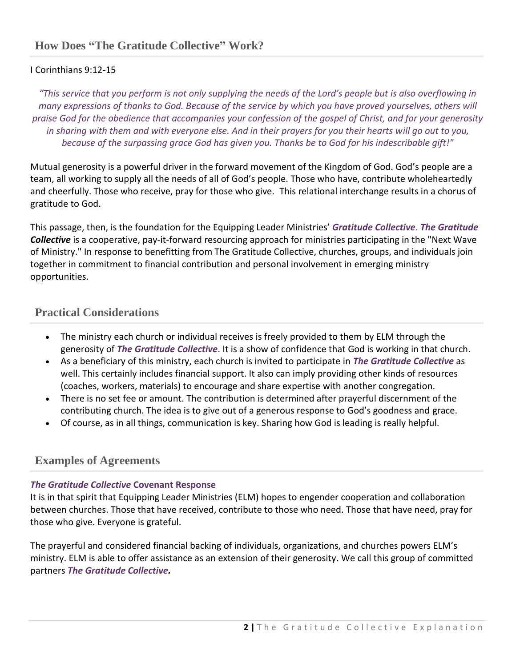### I Corinthians 9:12-15

*"This service that you perform is not only supplying the needs of the Lord's people but is also overflowing in many expressions of thanks to God. Because of the service by which you have proved yourselves, others will praise God for the obedience that accompanies your confession of the gospel of Christ, and for your generosity in sharing with them and with everyone else. And in their prayers for you their hearts will go out to you, because of the surpassing grace God has given you. Thanks be to God for his indescribable gift!"*

Mutual generosity is a powerful driver in the forward movement of the Kingdom of God. God's people are a team, all working to supply all the needs of all of God's people. Those who have, contribute wholeheartedly and cheerfully. Those who receive, pray for those who give. This relational interchange results in a chorus of gratitude to God.

This passage, then, is the foundation for the Equipping Leader Ministries' *Gratitude Collective*. *The Gratitude Collective* is a cooperative, pay-it-forward resourcing approach for ministries participating in the "Next Wave of Ministry." In response to benefitting from The Gratitude Collective, churches, groups, and individuals join together in commitment to financial contribution and personal involvement in emerging ministry opportunities.

## **Practical Considerations**

- The ministry each church or individual receives is freely provided to them by ELM through the generosity of *The Gratitude Collective*. It is a show of confidence that God is working in that church.
- As a beneficiary of this ministry, each church is invited to participate in *The Gratitude Collective* as well. This certainly includes financial support. It also can imply providing other kinds of resources (coaches, workers, materials) to encourage and share expertise with another congregation.
- There is no set fee or amount. The contribution is determined after prayerful discernment of the contributing church. The idea is to give out of a generous response to God's goodness and grace.
- Of course, as in all things, communication is key. Sharing how God is leading is really helpful.

## **Examples of Agreements**

#### *The Gratitude Collective* **Covenant Response**

It is in that spirit that Equipping Leader Ministries (ELM) hopes to engender cooperation and collaboration between churches. Those that have received, contribute to those who need. Those that have need, pray for those who give. Everyone is grateful.

The prayerful and considered financial backing of individuals, organizations, and churches powers ELM's ministry. ELM is able to offer assistance as an extension of their generosity. We call this group of committed partners *The Gratitude Collective.*